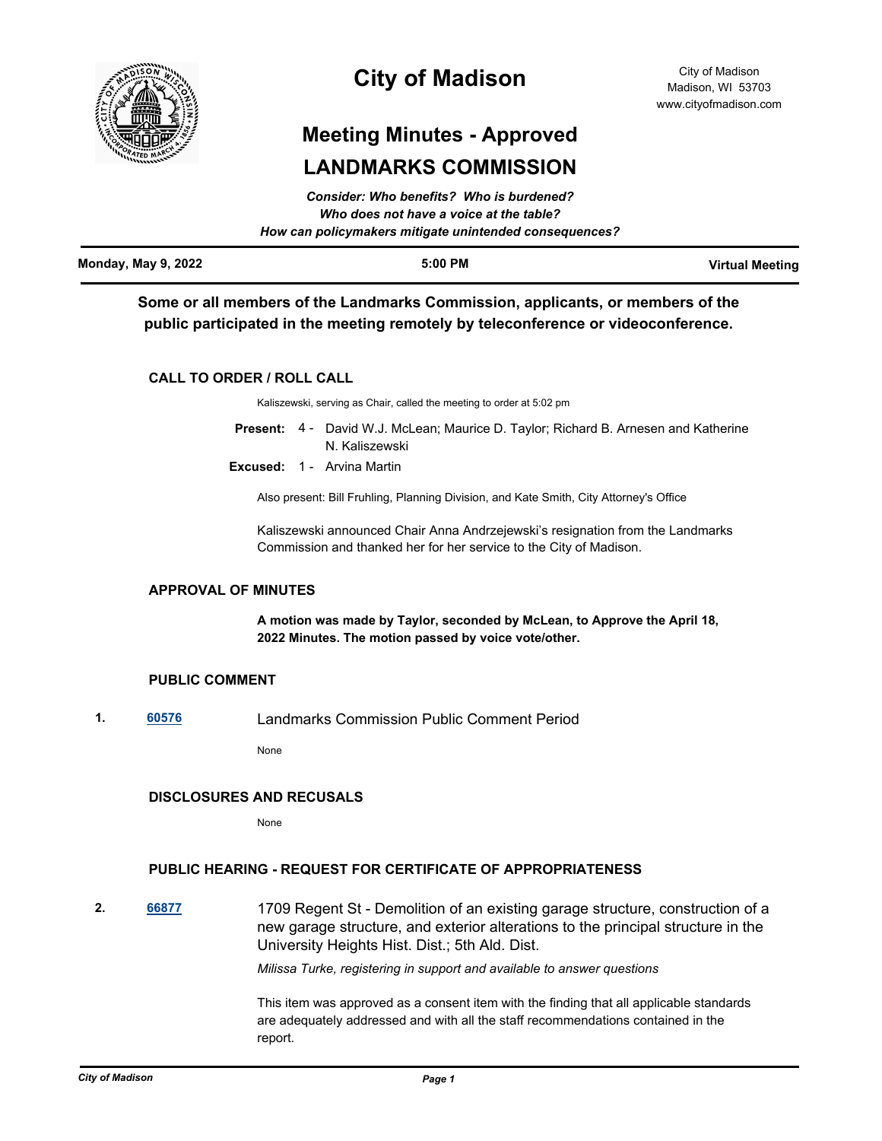

# **City of Madison**

# **Meeting Minutes - Approved LANDMARKS COMMISSION**

|                            | Consider: Who benefits? Who is burdened?<br>Who does not have a voice at the table?<br>How can policymakers mitigate unintended consequences? |                        |
|----------------------------|-----------------------------------------------------------------------------------------------------------------------------------------------|------------------------|
| <b>Monday, May 9, 2022</b> | $5:00$ PM                                                                                                                                     | <b>Virtual Meeting</b> |

**Some or all members of the Landmarks Commission, applicants, or members of the public participated in the meeting remotely by teleconference or videoconference.**

# **CALL TO ORDER / ROLL CALL**

Kaliszewski, serving as Chair, called the meeting to order at 5:02 pm

- Present: 4 David W.J. McLean; Maurice D. Taylor; Richard B. Arnesen and Katherine N. Kaliszewski
- **Excused:** 1 Arvina Martin

Also present: Bill Fruhling, Planning Division, and Kate Smith, City Attorney's Office

Kaliszewski announced Chair Anna Andrzejewski's resignation from the Landmarks Commission and thanked her for her service to the City of Madison.

# **APPROVAL OF MINUTES**

**A motion was made by Taylor, seconded by McLean, to Approve the April 18, 2022 Minutes. The motion passed by voice vote/other.**

# **PUBLIC COMMENT**

**1. [60576](http://madison.legistar.com/gateway.aspx?m=l&id=/matter.aspx?key=71419)** Landmarks Commission Public Comment Period

None

# **DISCLOSURES AND RECUSALS**

None

# **PUBLIC HEARING - REQUEST FOR CERTIFICATE OF APPROPRIATENESS**

**2. [66877](http://madison.legistar.com/gateway.aspx?m=l&id=/matter.aspx?key=78917)** 1709 Regent St - Demolition of an existing garage structure, construction of a new garage structure, and exterior alterations to the principal structure in the University Heights Hist. Dist.; 5th Ald. Dist.

*Milissa Turke, registering in support and available to answer questions*

This item was approved as a consent item with the finding that all applicable standards are adequately addressed and with all the staff recommendations contained in the report.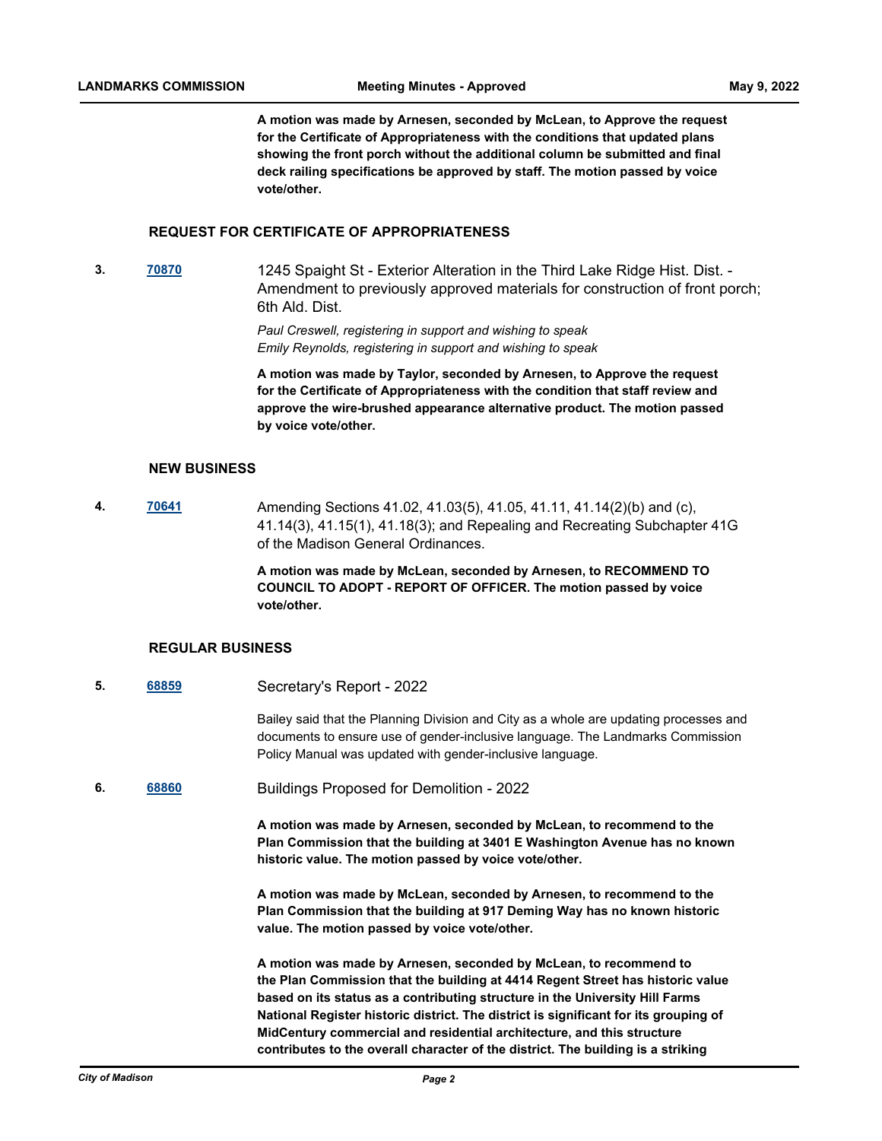**A motion was made by Arnesen, seconded by McLean, to Approve the request for the Certificate of Appropriateness with the conditions that updated plans showing the front porch without the additional column be submitted and final deck railing specifications be approved by staff. The motion passed by voice vote/other.**

## **REQUEST FOR CERTIFICATE OF APPROPRIATENESS**

**3. [70870](http://madison.legistar.com/gateway.aspx?m=l&id=/matter.aspx?key=82868)** 1245 Spaight St - Exterior Alteration in the Third Lake Ridge Hist. Dist. - Amendment to previously approved materials for construction of front porch; 6th Ald. Dist.

> *Paul Creswell, registering in support and wishing to speak Emily Reynolds, registering in support and wishing to speak*

**A motion was made by Taylor, seconded by Arnesen, to Approve the request for the Certificate of Appropriateness with the condition that staff review and approve the wire-brushed appearance alternative product. The motion passed by voice vote/other.**

## **NEW BUSINESS**

**4. [70641](http://madison.legistar.com/gateway.aspx?m=l&id=/matter.aspx?key=82672)** Amending Sections 41.02, 41.03(5), 41.05, 41.11, 41.14(2)(b) and (c), 41.14(3), 41.15(1), 41.18(3); and Repealing and Recreating Subchapter 41G of the Madison General Ordinances.

> **A motion was made by McLean, seconded by Arnesen, to RECOMMEND TO COUNCIL TO ADOPT - REPORT OF OFFICER. The motion passed by voice vote/other.**

#### **REGULAR BUSINESS**

**5. [68859](http://madison.legistar.com/gateway.aspx?m=l&id=/matter.aspx?key=80442)** Secretary's Report - 2022

Bailey said that the Planning Division and City as a whole are updating processes and documents to ensure use of gender-inclusive language. The Landmarks Commission Policy Manual was updated with gender-inclusive language.

**6. [68860](http://madison.legistar.com/gateway.aspx?m=l&id=/matter.aspx?key=80443)** Buildings Proposed for Demolition - 2022

**A motion was made by Arnesen, seconded by McLean, to recommend to the Plan Commission that the building at 3401 E Washington Avenue has no known historic value. The motion passed by voice vote/other.**

**A motion was made by McLean, seconded by Arnesen, to recommend to the Plan Commission that the building at 917 Deming Way has no known historic value. The motion passed by voice vote/other.**

**A motion was made by Arnesen, seconded by McLean, to recommend to the Plan Commission that the building at 4414 Regent Street has historic value based on its status as a contributing structure in the University Hill Farms National Register historic district. The district is significant for its grouping of MidCentury commercial and residential architecture, and this structure contributes to the overall character of the district. The building is a striking**